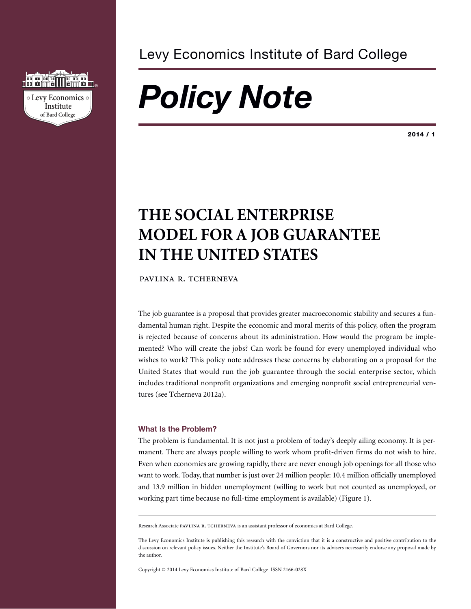

### Levy Economics Institute of Bard College

# *Policy Note*

**2014 / 1**

## **THE SOCIAL ENTERPRISE MODEL FOR A JOB GUARANTEE IN THE UNITED STATES**

PAVLINA R. TCHERNEVA

The job guarantee is a proposal that provides greater macroeconomic stability and secures a fundamental human right. Despite the economic and moral merits of this policy, often the program is rejected because of concerns about its administration. How would the program be implemented? Who will create the jobs? Can work be found for every unemployed individual who wishes to work? This policy note addresses these concerns by elaborating on a proposal for the United States that would run the job guarantee through the social enterprise sector, which includes traditional nonprofit organizations and emerging nonprofit social entrepreneurial ventures (see Tcherneva 2012a).

#### **What Is the Problem?**

The problem is fundamental. It is not just a problem of today's deeply ailing economy. It is permanent. There are always people willing to work whom profit-driven firms do not wish to hire. Even when economies are growing rapidly, there are never enough job openings for all those who want to work. Today, that number is just over 24 million people: 10.4 million officially unemployed and 13.9 million in hidden unemployment (willing to work but not counted as unemployed, or working part time because no full-time employment is available) (Figure 1).

Research Associate PAVLINA R. TCHERNEVA is an assistant professor of economics at Bard College.

Copyright © 2014 Levy Economics Institute of Bard College ISSN 2166-028X

The Levy Economics Institute is publishing this research with the conviction that it is a constructive and positive contribution to the discussion on relevant policy issues. Neither the Institute's Board of Governors nor its advisers necessarily endorse any proposal made by the author.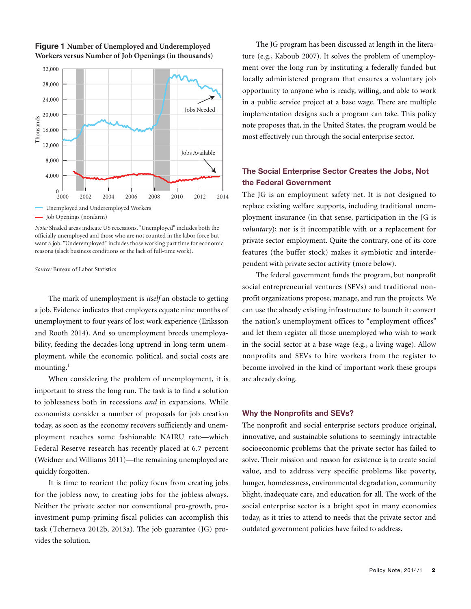

**Figure 1 Number of Unemployed and Underemployed Workers versus Number of Job Openings (in thousands)**

*Note:* Shaded areas indicate US recessions. "Unemployed" includes both the officially unemployed and those who are not counted in the labor force but want a job. "Underemployed" includes those working part time for economic reasons (slack business conditions or the lack of full-time work).

*Source:* Bureau of Labor Statistics

The mark of unemployment is *itself* an obstacle to getting a job. Evidence indicates that employers equate nine months of unemployment to four years of lost work experience (Eriksson and Rooth 2014). And so unemployment breeds unemployability, feeding the decades-long uptrend in long-term unemployment, while the economic, political, and social costs are mounting.<sup>1</sup>

When considering the problem of unemployment, it is important to stress the long run. The task is to find a solution to joblessness both in recessions *and* in expansions. While economists consider a number of proposals for job creation today, as soon as the economy recovers sufficiently and unemployment reaches some fashionable NAIRU rate—which Federal Reserve research has recently placed at 6.7 percent (Weidner and Williams 2011)—the remaining unemployed are quickly forgotten.

It is time to reorient the policy focus from creating jobs for the jobless now, to creating jobs for the jobless always. Neither the private sector nor conventional pro-growth, proinvestment pump-priming fiscal policies can accomplish this task (Tcherneva 2012b, 2013a). The job guarantee (JG) provides the solution.

The JG program has been discussed at length in the literature (e.g., Kaboub 2007). It solves the problem of unemployment over the long run by instituting a federally funded but locally administered program that ensures a voluntary job opportunity to anyone who is ready, willing, and able to work in a public service project at a base wage. There are multiple implementation designs such a program can take. This policy note proposes that, in the United States, the program would be most effectively run through the social enterprise sector.

#### **The Social Enterprise Sector Creates the Jobs, Not the Federal Government**

The JG is an employment safety net. It is not designed to replace existing welfare supports, including traditional unemployment insurance (in that sense, participation in the JG is *voluntary*); nor is it incompatible with or a replacement for private sector employment. Quite the contrary, one of its core features (the buffer stock) makes it symbiotic and interdependent with private sector activity (more below).

The federal government funds the program, but nonprofit social entrepreneurial ventures (SEVs) and traditional nonprofit organizations propose, manage, and run the projects. We can use the already existing infrastructure to launch it: convert the nation's unemployment offices to "employment offices" and let them register all those unemployed who wish to work in the social sector at a base wage (e.g., a living wage). Allow nonprofits and SEVs to hire workers from the register to become involved in the kind of important work these groups are already doing.

#### **Why the Nonprofits and SEVs?**

The nonprofit and social enterprise sectors produce original, innovative, and sustainable solutions to seemingly intractable socioeconomic problems that the private sector has failed to solve. Their mission and reason for existence is to create social value, and to address very specific problems like poverty, hunger, homelessness, environmental degradation, community blight, inadequate care, and education for all. The work of the social enterprise sector is a bright spot in many economies today, as it tries to attend to needs that the private sector and outdated government policies have failed to address.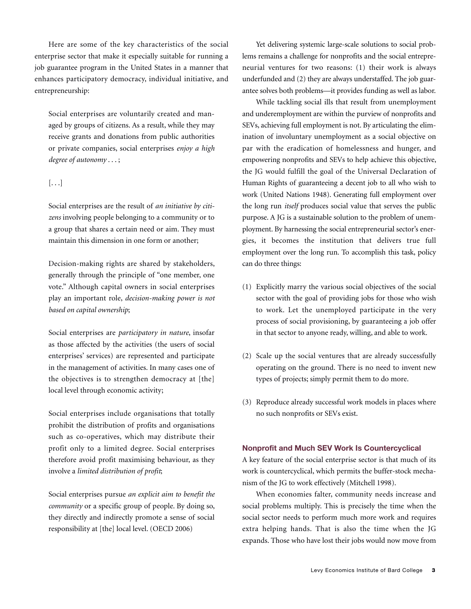Here are some of the key characteristics of the social enterprise sector that make it especially suitable for running a job guarantee program in the United States in a manner that enhances participatory democracy, individual initiative, and entrepreneurship:

Social enterprises are voluntarily created and managed by groups of citizens. As a result, while they may receive grants and donations from public authorities or private companies, social enterprises *enjoy a high degree of autonomy* . . . ;

#### $[ \ldots ]$

Social enterprises are the result of *an initiative by citizens* involving people belonging to a community or to a group that shares a certain need or aim. They must maintain this dimension in one form or another;

Decision-making rights are shared by stakeholders, generally through the principle of "one member, one vote." Although capital owners in social enterprises play an important role, *decision-making power is not based on capital ownership*;

Social enterprises are *participatory in nature*, insofar as those affected by the activities (the users of social enterprises' services) are represented and participate in the management of activities. In many cases one of the objectives is to strengthen democracy at [the] local level through economic activity;

Social enterprises include organisations that totally prohibit the distribution of profits and organisations such as co-operatives, which may distribute their profit only to a limited degree. Social enterprises therefore avoid profit maximising behaviour, as they involve a *limited distribution of profit*;

Social enterprises pursue *an explicit aim to benefit the community* or a specific group of people. By doing so, they directly and indirectly promote a sense of social responsibility at [the] local level. (OECD 2006)

Yet delivering systemic large-scale solutions to social problems remains a challenge for nonprofits and the social entrepreneurial ventures for two reasons: (1) their work is always underfunded and (2) they are always understaffed. The job guarantee solves both problems—it provides funding as well as labor.

While tackling social ills that result from unemployment and underemployment are within the purview of nonprofits and SEVs, achieving full employment is not. By articulating the elimination of involuntary unemployment as a social objective on par with the eradication of homelessness and hunger, and empowering nonprofits and SEVs to help achieve this objective, the JG would fulfill the goal of the Universal Declaration of Human Rights of guaranteeing a decent job to all who wish to work (United Nations 1948). Generating full employment over the long run *itself* produces social value that serves the public purpose. A JG is a sustainable solution to the problem of unemployment. By harnessing the social entrepreneurial sector's energies, it becomes the institution that delivers true full employment over the long run. To accomplish this task, policy can do three things:

- (1) Explicitly marry the various social objectives of the social sector with the goal of providing jobs for those who wish to work. Let the unemployed participate in the very process of social provisioning, by guaranteeing a job offer in that sector to anyone ready, willing, and able to work.
- (2) Scale up the social ventures that are already successfully operating on the ground. There is no need to invent new types of projects; simply permit them to do more.
- (3) Reproduce already successful work models in places where no such nonprofits or SEVs exist.

#### **Nonprofit and Much SEV Work Is Countercyclical**

A key feature of the social enterprise sector is that much of its work is countercyclical, which permits the buffer-stock mechanism of the JG to work effectively (Mitchell 1998).

When economies falter, community needs increase and social problems multiply. This is precisely the time when the social sector needs to perform much more work and requires extra helping hands. That is also the time when the JG expands. Those who have lost their jobs would now move from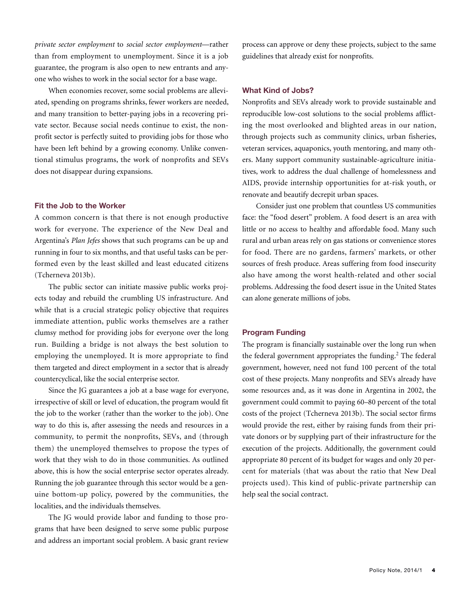*private sector employment* to *social sector employment*—rather than from employment to unemployment. Since it is a job guarantee, the program is also open to new entrants and anyone who wishes to work in the social sector for a base wage.

When economies recover, some social problems are alleviated, spending on programs shrinks, fewer workers are needed, and many transition to better-paying jobs in a recovering private sector. Because social needs continue to exist, the nonprofit sector is perfectly suited to providing jobs for those who have been left behind by a growing economy. Unlike conventional stimulus programs, the work of nonprofits and SEVs does not disappear during expansions.

#### **Fit the Job to the Worker**

A common concern is that there is not enough productive work for everyone. The experience of the New Deal and Argentina's *Plan Jefes* shows that such programs can be up and running in four to six months, and that useful tasks can be performed even by the least skilled and least educated citizens (Tcherneva 2013b).

The public sector can initiate massive public works projects today and rebuild the crumbling US infrastructure. And while that is a crucial strategic policy objective that requires immediate attention, public works themselves are a rather clumsy method for providing jobs for everyone over the long run. Building a bridge is not always the best solution to employing the unemployed. It is more appropriate to find them targeted and direct employment in a sector that is already countercyclical, like the social enterprise sector.

Since the JG guarantees a job at a base wage for everyone, irrespective of skill or level of education, the program would fit the job to the worker (rather than the worker to the job). One way to do this is, after assessing the needs and resources in a community, to permit the nonprofits, SEVs, and (through them) the unemployed themselves to propose the types of work that they wish to do in those communities. As outlined above, this is how the social enterprise sector operates already. Running the job guarantee through this sector would be a genuine bottom-up policy, powered by the communities, the localities, and the individuals themselves.

The JG would provide labor and funding to those programs that have been designed to serve some public purpose and address an important social problem. A basic grant review process can approve or deny these projects, subject to the same guidelines that already exist for nonprofits.

#### **What Kind of Jobs?**

Nonprofits and SEVs already work to provide sustainable and reproducible low-cost solutions to the social problems afflicting the most overlooked and blighted areas in our nation, through projects such as community clinics, urban fisheries, veteran services, aquaponics, youth mentoring, and many others. Many support community sustainable-agriculture initiatives, work to address the dual challenge of homelessness and AIDS, provide internship opportunities for at-risk youth, or renovate and beautify decrepit urban spaces.

Consider just one problem that countless US communities face: the "food desert" problem. A food desert is an area with little or no access to healthy and affordable food. Many such rural and urban areas rely on gas stations or convenience stores for food. There are no gardens, farmers' markets, or other sources of fresh produce. Areas suffering from food insecurity also have among the worst health-related and other social problems. Addressing the food desert issue in the United States can alone generate millions of jobs.

#### **Program Funding**

The program is financially sustainable over the long run when the federal government appropriates the funding.<sup>2</sup> The federal government, however, need not fund 100 percent of the total cost of these projects. Many nonprofits and SEVs already have some resources and, as it was done in Argentina in 2002, the government could commit to paying 60–80 percent of the total costs of the project (Tcherneva 2013b). The social sector firms would provide the rest, either by raising funds from their private donors or by supplying part of their infrastructure for the execution of the projects. Additionally, the government could appropriate 80 percent of its budget for wages and only 20 percent for materials (that was about the ratio that New Deal projects used). This kind of public-private partnership can help seal the social contract.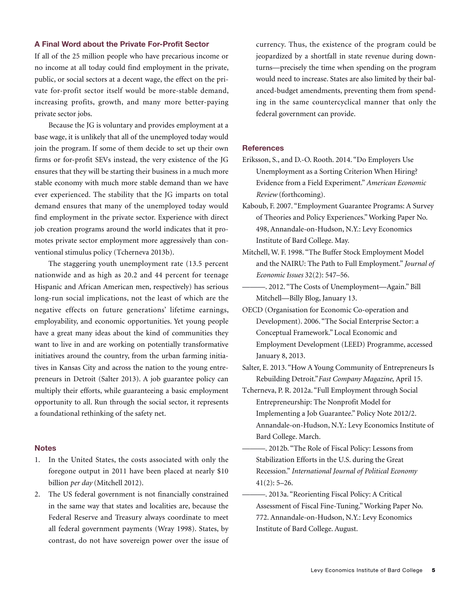#### **A Final Word about the Private For-Profit Sector**

If all of the 25 million people who have precarious income or no income at all today could find employment in the private, public, or social sectors at a decent wage, the effect on the private for-profit sector itself would be more-stable demand, increasing profits, growth, and many more better-paying private sector jobs.

Because the JG is voluntary and provides employment at a base wage, it is unlikely that all of the unemployed today would join the program. If some of them decide to set up their own firms or for-profit SEVs instead, the very existence of the JG ensures that they will be starting their business in a much more stable economy with much more stable demand than we have ever experienced. The stability that the JG imparts on total demand ensures that many of the unemployed today would find employment in the private sector. Experience with direct job creation programs around the world indicates that it promotes private sector employment more aggressively than conventional stimulus policy (Tcherneva 2013b).

The staggering youth unemployment rate (13.5 percent nationwide and as high as 20.2 and 44 percent for teenage Hispanic and African American men, respectively) has serious long-run social implications, not the least of which are the negative effects on future generations' lifetime earnings, employability, and economic opportunities. Yet young people have a great many ideas about the kind of communities they want to live in and are working on potentially transformative initiatives around the country, from the urban farming initiatives in Kansas City and across the nation to the young entrepreneurs in Detroit (Salter 2013). A job guarantee policy can multiply their efforts, while guaranteeing a basic employment opportunity to all. Run through the social sector, it represents a foundational rethinking of the safety net.

#### **Notes**

- 1. In the United States, the costs associated with only the foregone output in 2011 have been placed at nearly \$10 billion *per day* (Mitchell 2012).
- 2. The US federal government is not financially constrained in the same way that states and localities are, because the Federal Reserve and Treasury always coordinate to meet all federal government payments (Wray 1998). States, by contrast, do not have sovereign power over the issue of

currency. Thus, the existence of the program could be jeopardized by a shortfall in state revenue during downturns—precisely the time when spending on the program would need to increase. States are also limited by their balanced-budget amendments, preventing them from spending in the same countercyclical manner that only the federal government can provide.

#### **References**

- Eriksson, S., and D.-O. Rooth. 2014. "Do Employers Use Unemployment as a Sorting Criterion When Hiring? Evidence from a Field Experiment." *American Economic Review* (forthcoming)*.*
- Kaboub, F. 2007. "Employment Guarantee Programs: A Survey of Theories and Policy Experiences."Working Paper No. 498, Annandale-on-Hudson, N.Y.: Levy Economics Institute of Bard College. May.
- Mitchell, W. F. 1998. "The Buffer Stock Employment Model and the NAIRU: The Path to Full Employment." *Journal of Economic Issues* 32(2): 547–56.
	- ———. 2012. "The Costs of Unemployment—Again." Bill Mitchell—Billy Blog, January 13.
- OECD (Organisation for Economic Co-operation and Development). 2006. "The Social Enterprise Sector: a Conceptual Framework." Local Economic and Employment Development (LEED) Programme, accessed January 8, 2013.

Salter, E. 2013. "How A Young Community of Entrepreneurs Is Rebuilding Detroit."*Fast Company Magazine*, April 15.

- Tcherneva, P. R. 2012a. "Full Employment through Social Entrepreneurship: The Nonprofit Model for Implementing a Job Guarantee." Policy Note 2012/2. Annandale-on-Hudson, N.Y.: Levy Economics Institute of Bard College. March.
	- ———. 2012b. "The Role of Fiscal Policy: Lessons from Stabilization Efforts in the U.S. during the Great Recession." *International Journal of Political Economy* 41(2): 5–26.
	- ———. 2013a. "Reorienting Fiscal Policy: A Critical Assessment of Fiscal Fine-Tuning."Working Paper No. 772. Annandale-on-Hudson, N.Y.: Levy Economics Institute of Bard College. August.